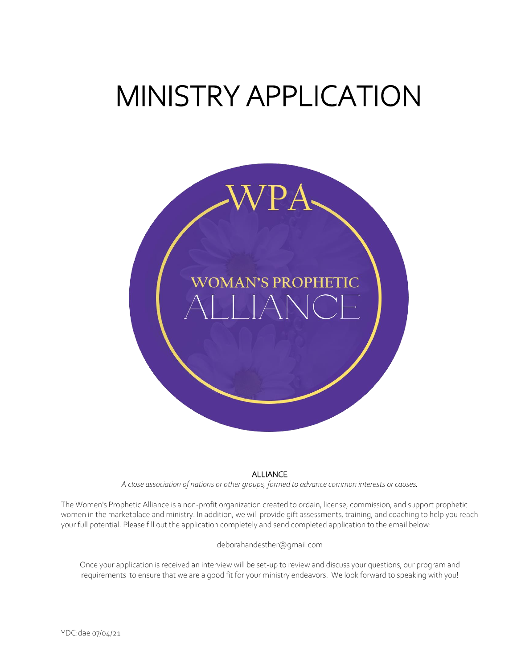# MINISTRY APPLICATION



#### ALLIANCE

*A close association of nations or other groups, formed to advance common interests or causes.*

The Women's Prophetic Alliance is a non-profit organization created to ordain, license, commission, and support prophetic women in the marketplace and ministry. In addition, we will provide gift assessments, training, and coaching to help you reach your full potential. Please fill out the application completely and send completed application to the email below:

#### deborahandesther@gmail.com

Once your application is received an interview will be set-up to review and discuss your questions, our program and requirements to ensure that we are a good fit for your ministry endeavors. We look forward to speaking with you!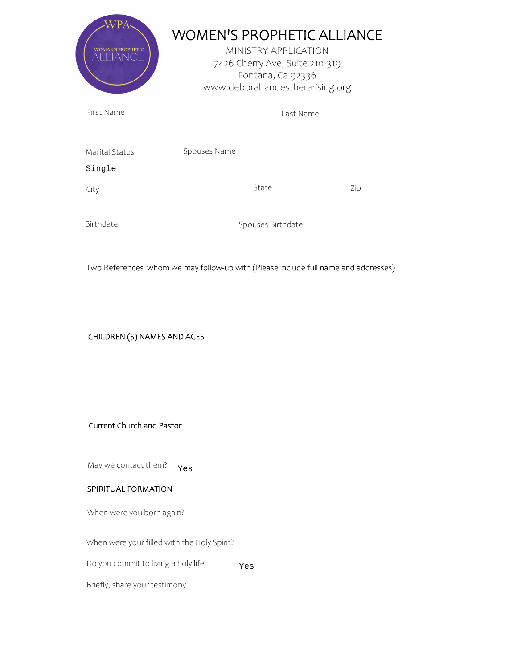| ANCE                             | <b>WOMEN'S PROPHETIC ALLIANCE</b><br>MINISTRY APPLICATION<br>7426 Cherry Ave, Suite 210-319<br>Fontana, Ca 92336<br>www.deborahandestherarising.org |     |
|----------------------------------|-----------------------------------------------------------------------------------------------------------------------------------------------------|-----|
| First Name                       | Last Name                                                                                                                                           |     |
| Marital Status<br>Single<br>City | Spouses Name<br>State                                                                                                                               | Zip |
| Birthdate                        | Spouses Birthdate                                                                                                                                   |     |

Two References whom we may follow-up with (Please include full name and addresses)

# CHILDREN (S) NAMES AND AGES

### Current Church and Pastor

May we contact them? Yes

## SPIRITUAL FORMATION

When were you born again?

When were your filled with the Holy Spirit?

Do you commit to living a holy life Yes

Briefly, share your testimony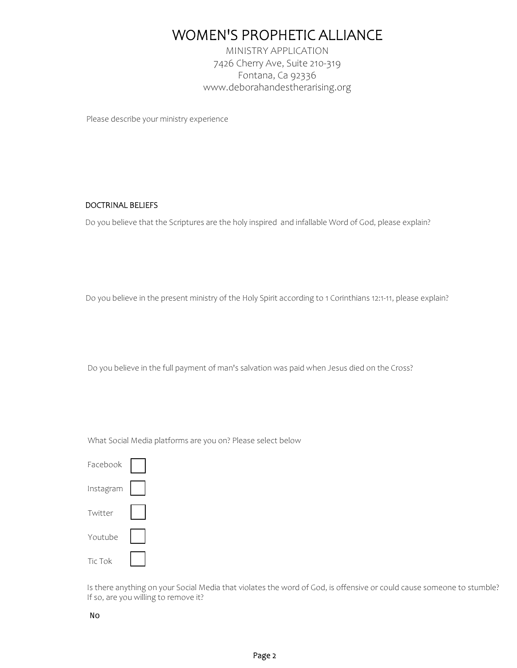# WOMEN'S PROPHETIC ALLIANCE

MINISTRY APPLICATION 7426 Cherry Ave, Suite 210-319 Fontana, Ca 92336 www.deborahandestherarising.org

Please describe your ministry experience

### DOCTRINAL BELIEFS

Do you believe that the Scriptures are the holy inspired and infallable Word of God, please explain?

Do you believe in the present ministry of the Holy Spirit according to 1 Corinthians 12:1-11, please explain?

Do you believe in the full payment of man's salvation was paid when Jesus died on the Cross?

What Social Media platforms are you on? Please select below

| Facebook  |  |
|-----------|--|
| Instagram |  |
| Twitter   |  |
| Youtube   |  |
| Tic Tok   |  |

Is there anything on your Social Media that violates the word of God, is offensive or could cause someone to stumble? If so, are you willing to remove it?